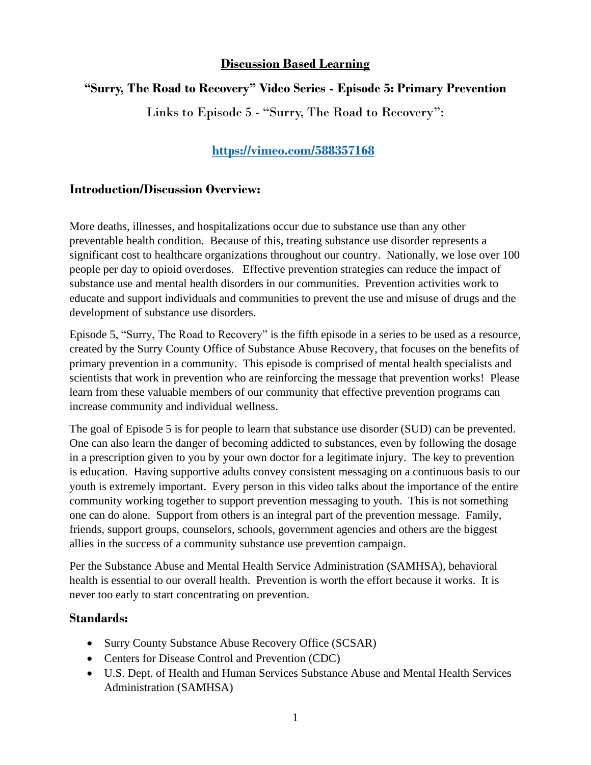### **Discussion Based Learning**

# **"Surry, The Road to Recovery" Video Series - Episode 5: Primary Prevention**

Links to Episode 5 - "Surry, The Road to Recovery":

# **<https://vimeo.com/588357168>**

#### **Introduction/Discussion Overview:**

More deaths, illnesses, and hospitalizations occur due to substance use than any other preventable health condition. Because of this, treating substance use disorder represents a significant cost to healthcare organizations throughout our country. Nationally, we lose over 100 people per day to opioid overdoses. Effective prevention strategies can reduce the impact of substance use and mental health disorders in our communities. Prevention activities work to educate and support individuals and communities to prevent the use and misuse of drugs and the development of substance use disorders.

Episode 5, "Surry, The Road to Recovery" is the fifth episode in a series to be used as a resource, created by the Surry County Office of Substance Abuse Recovery, that focuses on the benefits of primary prevention in a community. This episode is comprised of mental health specialists and scientists that work in prevention who are reinforcing the message that prevention works! Please learn from these valuable members of our community that effective prevention programs can increase community and individual wellness.

The goal of Episode 5 is for people to learn that substance use disorder (SUD) can be prevented. One can also learn the danger of becoming addicted to substances, even by following the dosage in a prescription given to you by your own doctor for a legitimate injury. The key to prevention is education. Having supportive adults convey consistent messaging on a continuous basis to our youth is extremely important. Every person in this video talks about the importance of the entire community working together to support prevention messaging to youth. This is not something one can do alone. Support from others is an integral part of the prevention message. Family, friends, support groups, counselors, schools, government agencies and others are the biggest allies in the success of a community substance use prevention campaign.

Per the Substance Abuse and Mental Health Service Administration (SAMHSA), behavioral health is essential to our overall health. Prevention is worth the effort because it works. It is never too early to start concentrating on prevention.

# **Standards:**

- Surry County Substance Abuse Recovery Office (SCSAR)
- Centers for Disease Control and Prevention (CDC)
- U.S. Dept. of Health and Human Services Substance Abuse and Mental Health Services Administration (SAMHSA)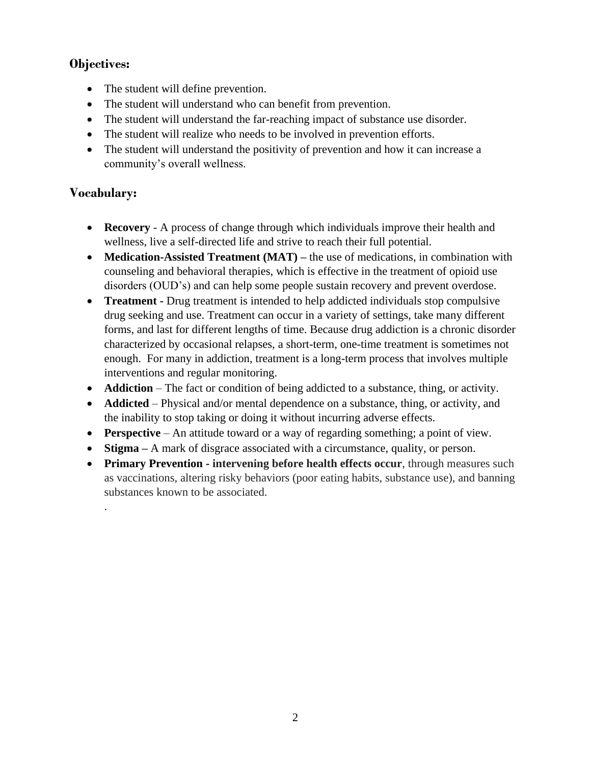# **Objectives:**

- The student will define prevention.
- The student will understand who can benefit from prevention.
- The student will understand the far-reaching impact of substance use disorder.
- The student will realize who needs to be involved in prevention efforts.
- The student will understand the positivity of prevention and how it can increase a community's overall wellness.

# **Vocabulary:**

.

- **Recovery** A process of change through which individuals improve their health and wellness, live a self-directed life and strive to reach their full potential.
- **Medication-Assisted Treatment (MAT)** the use of medications, in combination with counseling and behavioral therapies, which is effective in the treatment of opioid use disorders (OUD's) and can help some people sustain recovery and prevent overdose.
- **Treatment** Drug treatment is intended to help addicted individuals stop compulsive drug seeking and use. Treatment can occur in a variety of settings, take many different forms, and last for different lengths of time. Because drug addiction is a chronic disorder characterized by occasional relapses, a short-term, one-time treatment is sometimes not enough. For many in addiction, treatment is a long-term process that involves multiple interventions and regular monitoring.
- **Addiction** The fact or condition of being addicted to a substance, thing, or activity.
- **Addicted** Physical and/or mental dependence on a substance, thing, or activity, and the inability to stop taking or doing it without incurring adverse effects.
- **Perspective** An attitude toward or a way of regarding something; a point of view.
- **Stigma** A mark of disgrace associated with a circumstance, quality, or person.
- **Primary Prevention - intervening before health effects occur**, through measures such as vaccinations, altering risky behaviors (poor eating habits, substance use), and banning substances known to be associated.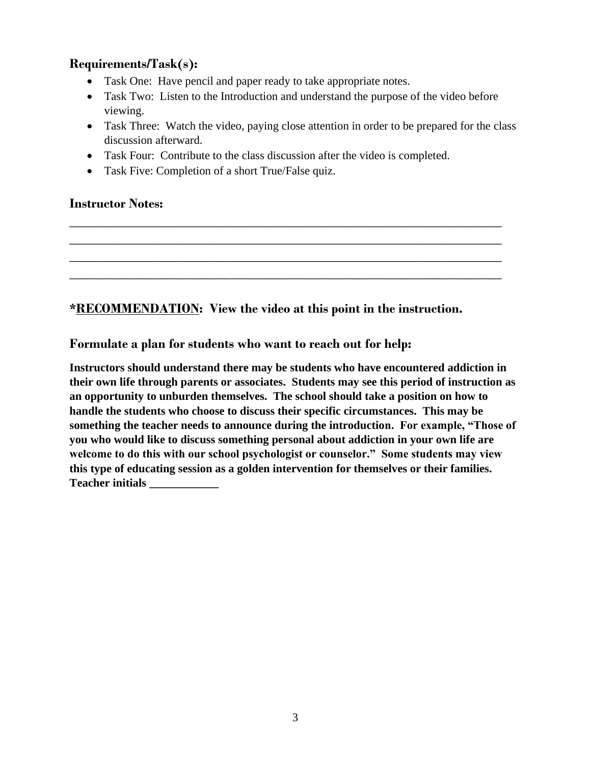# **Requirements/Task(s):**

- Task One: Have pencil and paper ready to take appropriate notes.
- Task Two: Listen to the Introduction and understand the purpose of the video before viewing.
- Task Three: Watch the video, paying close attention in order to be prepared for the class discussion afterward.
- Task Four: Contribute to the class discussion after the video is completed.

**\_\_\_\_\_\_\_\_\_\_\_\_\_\_\_\_\_\_\_\_\_\_\_\_\_\_\_\_\_\_\_\_\_\_\_\_\_\_\_\_\_\_\_\_\_\_\_\_\_\_\_\_\_\_\_\_\_\_\_\_\_\_\_\_ \_\_\_\_\_\_\_\_\_\_\_\_\_\_\_\_\_\_\_\_\_\_\_\_\_\_\_\_\_\_\_\_\_\_\_\_\_\_\_\_\_\_\_\_\_\_\_\_\_\_\_\_\_\_\_\_\_\_\_\_\_\_\_\_ \_\_\_\_\_\_\_\_\_\_\_\_\_\_\_\_\_\_\_\_\_\_\_\_\_\_\_\_\_\_\_\_\_\_\_\_\_\_\_\_\_\_\_\_\_\_\_\_\_\_\_\_\_\_\_\_\_\_\_\_\_\_\_\_ \_\_\_\_\_\_\_\_\_\_\_\_\_\_\_\_\_\_\_\_\_\_\_\_\_\_\_\_\_\_\_\_\_\_\_\_\_\_\_\_\_\_\_\_\_\_\_\_\_\_\_\_\_\_\_\_\_\_\_\_\_\_\_\_**

• Task Five: Completion of a short True/False quiz.

# **Instructor Notes:**

**\*RECOMMENDATION: View the video at this point in the instruction.** 

#### **Formulate a plan for students who want to reach out for help:**

**Instructors should understand there may be students who have encountered addiction in their own life through parents or associates. Students may see this period of instruction as an opportunity to unburden themselves. The school should take a position on how to handle the students who choose to discuss their specific circumstances. This may be something the teacher needs to announce during the introduction. For example, "Those of you who would like to discuss something personal about addiction in your own life are welcome to do this with our school psychologist or counselor." Some students may view this type of educating session as a golden intervention for themselves or their families. Teacher initials \_\_\_\_\_\_\_\_\_\_\_\_**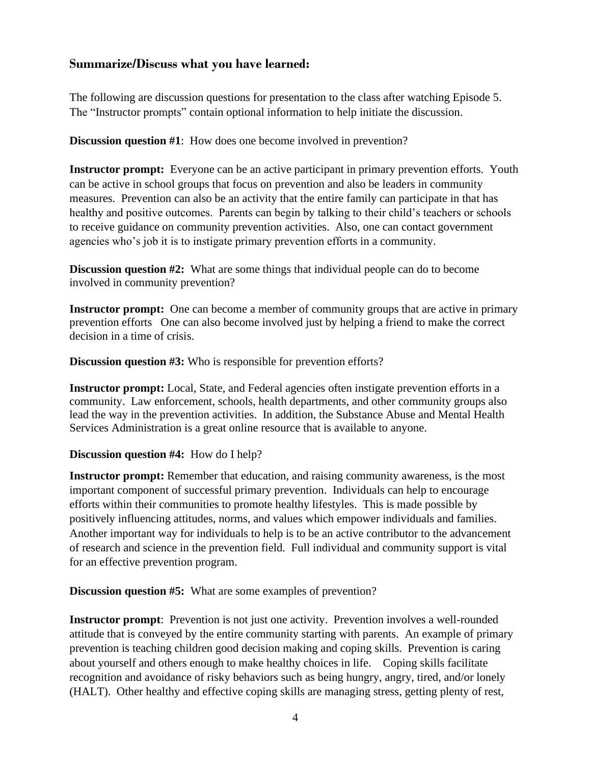# **Summarize/Discuss what you have learned:**

The following are discussion questions for presentation to the class after watching Episode 5. The "Instructor prompts" contain optional information to help initiate the discussion.

**Discussion question #1**: How does one become involved in prevention?

**Instructor prompt:** Everyone can be an active participant in primary prevention efforts. Youth can be active in school groups that focus on prevention and also be leaders in community measures. Prevention can also be an activity that the entire family can participate in that has healthy and positive outcomes. Parents can begin by talking to their child's teachers or schools to receive guidance on community prevention activities. Also, one can contact government agencies who's job it is to instigate primary prevention efforts in a community.

**Discussion question #2:** What are some things that individual people can do to become involved in community prevention?

**Instructor prompt:** One can become a member of community groups that are active in primary prevention efforts One can also become involved just by helping a friend to make the correct decision in a time of crisis.

**Discussion question #3:** Who is responsible for prevention efforts?

**Instructor prompt:** Local, State, and Federal agencies often instigate prevention efforts in a community. Law enforcement, schools, health departments, and other community groups also lead the way in the prevention activities. In addition, the Substance Abuse and Mental Health Services Administration is a great online resource that is available to anyone.

#### **Discussion question #4:** How do I help?

**Instructor prompt:** Remember that education, and raising community awareness, is the most important component of successful primary prevention. Individuals can help to encourage efforts within their communities to promote healthy lifestyles. This is made possible by positively influencing attitudes, norms, and values which empower individuals and families. Another important way for individuals to help is to be an active contributor to the advancement of research and science in the prevention field. Full individual and community support is vital for an effective prevention program.

**Discussion question #5:** What are some examples of prevention?

**Instructor prompt**: Prevention is not just one activity. Prevention involves a well-rounded attitude that is conveyed by the entire community starting with parents. An example of primary prevention is teaching children good decision making and coping skills. Prevention is caring about yourself and others enough to make healthy choices in life. Coping skills facilitate recognition and avoidance of risky behaviors such as being hungry, angry, tired, and/or lonely (HALT). Other healthy and effective coping skills are managing stress, getting plenty of rest,